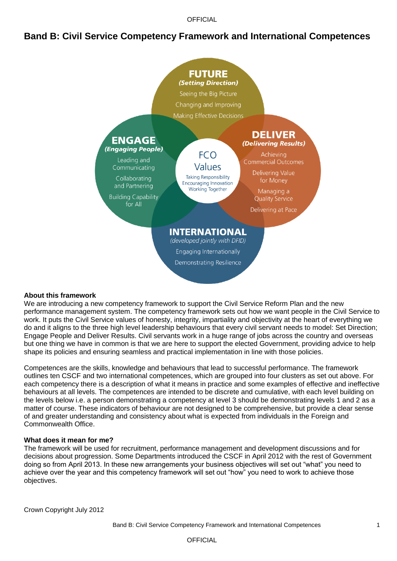**OFFICIAL** 

## **Band B: Civil Service Competency Framework and International Competences**



#### **About this framework**

We are introducing a new competency framework to support the Civil Service Reform Plan and the new performance management system. The competency framework sets out how we want people in the Civil Service to work. It puts the Civil Service values of honesty, integrity, impartiality and objectivity at the heart of everything we do and it aligns to the three high level leadership behaviours that every civil servant needs to model: Set Direction; Engage People and Deliver Results. Civil servants work in a huge range of jobs across the country and overseas but one thing we have in common is that we are here to support the elected Government, providing advice to help shape its policies and ensuring seamless and practical implementation in line with those policies.

Competences are the skills, knowledge and behaviours that lead to successful performance. The framework outlines ten CSCF and two international competences, which are grouped into four clusters as set out above. For each competency there is a description of what it means in practice and some examples of effective and ineffective behaviours at all levels. The competences are intended to be discrete and cumulative, with each level building on the levels below i.e. a person demonstrating a competency at level 3 should be demonstrating levels 1 and 2 as a matter of course. These indicators of behaviour are not designed to be comprehensive, but provide a clear sense of and greater understanding and consistency about what is expected from individuals in the Foreign and Commonwealth Office.

#### **What does it mean for me?**

The framework will be used for recruitment, performance management and development discussions and for decisions about progression. Some Departments introduced the CSCF in April 2012 with the rest of Government doing so from April 2013. In these new arrangements your business objectives will set out "what" you need to achieve over the year and this competency framework will set out "how" you need to work to achieve those objectives.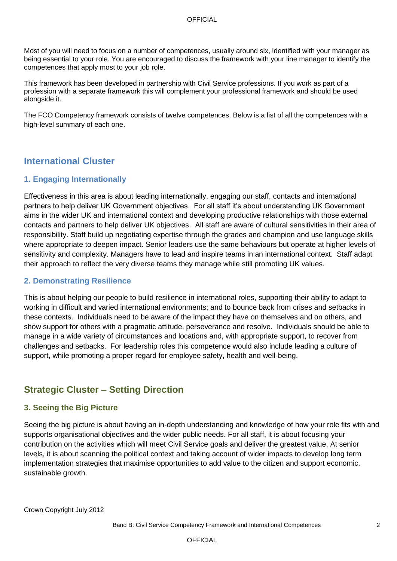Most of you will need to focus on a number of competences, usually around six, identified with your manager as being essential to your role. You are encouraged to discuss the framework with your line manager to identify the competences that apply most to your job role.

This framework has been developed in partnership with Civil Service professions. If you work as part of a profession with a separate framework this will complement your professional framework and should be used alongside it.

The FCO Competency framework consists of twelve competences. Below is a list of all the competences with a high-level summary of each one.

# **International Cluster**

### **1. Engaging Internationally**

Effectiveness in this area is about leading internationally, engaging our staff, contacts and international partners to help deliver UK Government objectives. For all staff it"s about understanding UK Government aims in the wider UK and international context and developing productive relationships with those external contacts and partners to help deliver UK objectives. All staff are aware of cultural sensitivities in their area of responsibility. Staff build up negotiating expertise through the grades and champion and use language skills where appropriate to deepen impact. Senior leaders use the same behaviours but operate at higher levels of sensitivity and complexity. Managers have to lead and inspire teams in an international context. Staff adapt their approach to reflect the very diverse teams they manage while still promoting UK values.

#### **2. Demonstrating Resilience**

This is about helping our people to build resilience in international roles, supporting their ability to adapt to working in difficult and varied international environments; and to bounce back from crises and setbacks in these contexts. Individuals need to be aware of the impact they have on themselves and on others, and show support for others with a pragmatic attitude, perseverance and resolve. Individuals should be able to manage in a wide variety of circumstances and locations and, with appropriate support, to recover from challenges and setbacks. For leadership roles this competence would also include leading a culture of support, while promoting a proper regard for employee safety, health and well-being.

# **Strategic Cluster – Setting Direction**

### **3. Seeing the Big Picture**

Seeing the big picture is about having an in-depth understanding and knowledge of how your role fits with and supports organisational objectives and the wider public needs. For all staff, it is about focusing your contribution on the activities which will meet Civil Service goals and deliver the greatest value. At senior levels, it is about scanning the political context and taking account of wider impacts to develop long term implementation strategies that maximise opportunities to add value to the citizen and support economic, sustainable growth.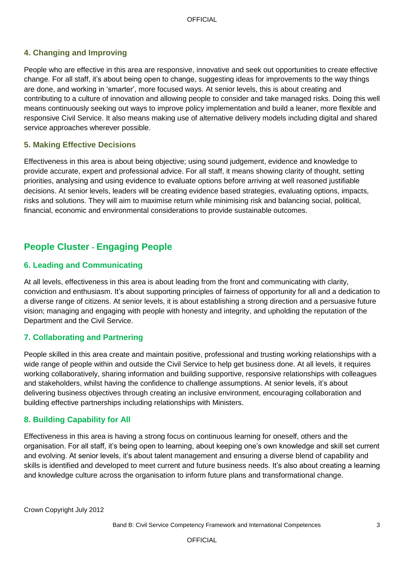### **4. Changing and Improving**

People who are effective in this area are responsive, innovative and seek out opportunities to create effective change. For all staff, it"s about being open to change, suggesting ideas for improvements to the way things are done, and working in "smarter", more focused ways. At senior levels, this is about creating and contributing to a culture of innovation and allowing people to consider and take managed risks. Doing this well means continuously seeking out ways to improve policy implementation and build a leaner, more flexible and responsive Civil Service. It also means making use of alternative delivery models including digital and shared service approaches wherever possible.

### **5. Making Effective Decisions**

Effectiveness in this area is about being objective; using sound judgement, evidence and knowledge to provide accurate, expert and professional advice. For all staff, it means showing clarity of thought, setting priorities, analysing and using evidence to evaluate options before arriving at well reasoned justifiable decisions. At senior levels, leaders will be creating evidence based strategies, evaluating options, impacts, risks and solutions. They will aim to maximise return while minimising risk and balancing social, political, financial, economic and environmental considerations to provide sustainable outcomes.

# **People Cluster - Engaging People**

### **6. Leading and Communicating**

At all levels, effectiveness in this area is about leading from the front and communicating with clarity, conviction and enthusiasm. It"s about supporting principles of fairness of opportunity for all and a dedication to a diverse range of citizens. At senior levels, it is about establishing a strong direction and a persuasive future vision; managing and engaging with people with honesty and integrity, and upholding the reputation of the Department and the Civil Service.

### **7. Collaborating and Partnering**

People skilled in this area create and maintain positive, professional and trusting working relationships with a wide range of people within and outside the Civil Service to help get business done. At all levels, it requires working collaboratively, sharing information and building supportive, responsive relationships with colleagues and stakeholders, whilst having the confidence to challenge assumptions. At senior levels, it's about delivering business objectives through creating an inclusive environment, encouraging collaboration and building effective partnerships including relationships with Ministers.

### **8. Building Capability for All**

Effectiveness in this area is having a strong focus on continuous learning for oneself, others and the organisation. For all staff, it"s being open to learning, about keeping one"s own knowledge and skill set current and evolving. At senior levels, it"s about talent management and ensuring a diverse blend of capability and skills is identified and developed to meet current and future business needs. It"s also about creating a learning and knowledge culture across the organisation to inform future plans and transformational change.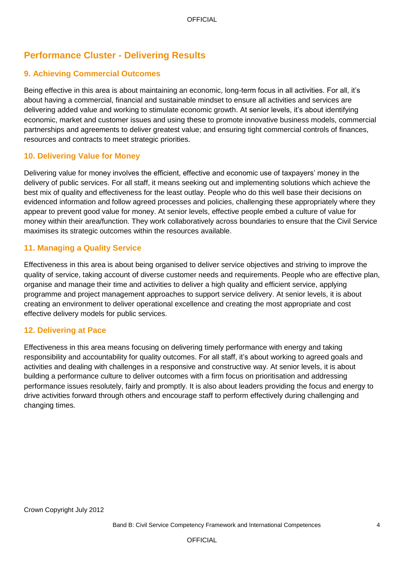# **Performance Cluster - Delivering Results**

### **9. Achieving Commercial Outcomes**

Being effective in this area is about maintaining an economic, long-term focus in all activities. For all, it"s about having a commercial, financial and sustainable mindset to ensure all activities and services are delivering added value and working to stimulate economic growth. At senior levels, it"s about identifying economic, market and customer issues and using these to promote innovative business models, commercial partnerships and agreements to deliver greatest value; and ensuring tight commercial controls of finances, resources and contracts to meet strategic priorities.

### **10. Delivering Value for Money**

Delivering value for money involves the efficient, effective and economic use of taxpayers" money in the delivery of public services. For all staff, it means seeking out and implementing solutions which achieve the best mix of quality and effectiveness for the least outlay. People who do this well base their decisions on evidenced information and follow agreed processes and policies, challenging these appropriately where they appear to prevent good value for money. At senior levels, effective people embed a culture of value for money within their area/function. They work collaboratively across boundaries to ensure that the Civil Service maximises its strategic outcomes within the resources available.

### **11. Managing a Quality Service**

Effectiveness in this area is about being organised to deliver service objectives and striving to improve the quality of service, taking account of diverse customer needs and requirements. People who are effective plan, organise and manage their time and activities to deliver a high quality and efficient service, applying programme and project management approaches to support service delivery. At senior levels, it is about creating an environment to deliver operational excellence and creating the most appropriate and cost effective delivery models for public services.

#### **12. Delivering at Pace**

Effectiveness in this area means focusing on delivering timely performance with energy and taking responsibility and accountability for quality outcomes. For all staff, it"s about working to agreed goals and activities and dealing with challenges in a responsive and constructive way. At senior levels, it is about building a performance culture to deliver outcomes with a firm focus on prioritisation and addressing performance issues resolutely, fairly and promptly. It is also about leaders providing the focus and energy to drive activities forward through others and encourage staff to perform effectively during challenging and changing times.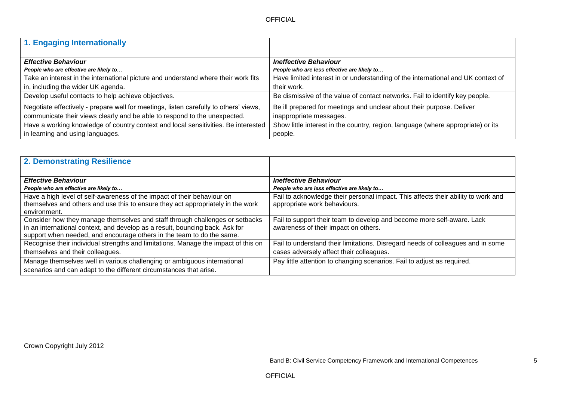| 1. Engaging Internationally                                                           |                                                                                  |
|---------------------------------------------------------------------------------------|----------------------------------------------------------------------------------|
|                                                                                       |                                                                                  |
| <b>Effective Behaviour</b>                                                            | <b>Ineffective Behaviour</b>                                                     |
| People who are effective are likely to                                                | People who are less effective are likely to                                      |
| Take an interest in the international picture and understand where their work fits    | Have limited interest in or understanding of the international and UK context of |
| in, including the wider UK agenda.                                                    | their work.                                                                      |
| Develop useful contacts to help achieve objectives.                                   | Be dismissive of the value of contact networks. Fail to identify key people.     |
| Negotiate effectively - prepare well for meetings, listen carefully to others' views, | Be ill prepared for meetings and unclear about their purpose. Deliver            |
| communicate their views clearly and be able to respond to the unexpected.             | inappropriate messages.                                                          |
| Have a working knowledge of country context and local sensitivities. Be interested    | Show little interest in the country, region, language (where appropriate) or its |
| in learning and using languages.                                                      | people.                                                                          |

| <b>2. Demonstrating Resilience</b>                                                 |                                                                                   |
|------------------------------------------------------------------------------------|-----------------------------------------------------------------------------------|
|                                                                                    |                                                                                   |
| <b>Effective Behaviour</b>                                                         | <b>Ineffective Behaviour</b>                                                      |
| People who are effective are likely to                                             | People who are less effective are likely to                                       |
| Have a high level of self-awareness of the impact of their behaviour on            | Fail to acknowledge their personal impact. This affects their ability to work and |
| themselves and others and use this to ensure they act appropriately in the work    | appropriate work behaviours.                                                      |
| environment.                                                                       |                                                                                   |
| Consider how they manage themselves and staff through challenges or setbacks       | Fail to support their team to develop and become more self-aware. Lack            |
| in an international context, and develop as a result, bouncing back. Ask for       | awareness of their impact on others.                                              |
| support when needed, and encourage others in the team to do the same.              |                                                                                   |
| Recognise their individual strengths and limitations. Manage the impact of this on | Fail to understand their limitations. Disregard needs of colleagues and in some   |
| themselves and their colleagues.                                                   | cases adversely affect their colleagues.                                          |
| Manage themselves well in various challenging or ambiguous international           | Pay little attention to changing scenarios. Fail to adjust as required.           |
| scenarios and can adapt to the different circumstances that arise.                 |                                                                                   |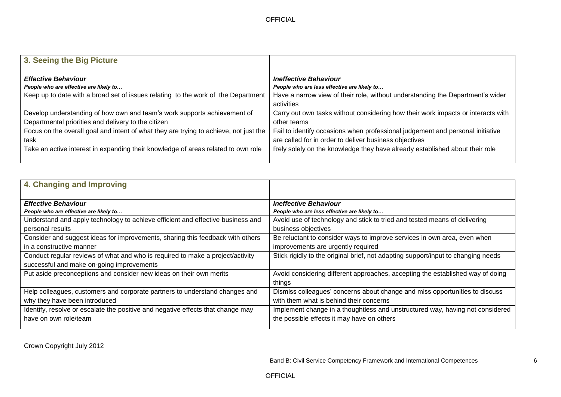| 3. Seeing the Big Picture                                                             |                                                                                  |
|---------------------------------------------------------------------------------------|----------------------------------------------------------------------------------|
|                                                                                       |                                                                                  |
| <b>Effective Behaviour</b>                                                            | <b>Ineffective Behaviour</b>                                                     |
| People who are effective are likely to                                                | People who are less effective are likely to                                      |
| Keep up to date with a broad set of issues relating to the work of the Department     | Have a narrow view of their role, without understanding the Department's wider   |
|                                                                                       | activities                                                                       |
| Develop understanding of how own and team's work supports achievement of              | Carry out own tasks without considering how their work impacts or interacts with |
| Departmental priorities and delivery to the citizen                                   | other teams                                                                      |
| Focus on the overall goal and intent of what they are trying to achieve, not just the | Fail to identify occasions when professional judgement and personal initiative   |
| task                                                                                  | are called for in order to deliver business objectives                           |
| Take an active interest in expanding their knowledge of areas related to own role     | Rely solely on the knowledge they have already established about their role      |
|                                                                                       |                                                                                  |

| 4. Changing and Improving                                                       |                                                                                   |
|---------------------------------------------------------------------------------|-----------------------------------------------------------------------------------|
| <b>Effective Behaviour</b>                                                      | <b>Ineffective Behaviour</b>                                                      |
| People who are effective are likely to                                          | People who are less effective are likely to                                       |
| Understand and apply technology to achieve efficient and effective business and | Avoid use of technology and stick to tried and tested means of delivering         |
| personal results                                                                | business objectives                                                               |
| Consider and suggest ideas for improvements, sharing this feedback with others  | Be reluctant to consider ways to improve services in own area, even when          |
| in a constructive manner                                                        | improvements are urgently required                                                |
| Conduct regular reviews of what and who is required to make a project/activity  | Stick rigidly to the original brief, not adapting support/input to changing needs |
| successful and make on-going improvements                                       |                                                                                   |
| Put aside preconceptions and consider new ideas on their own merits             | Avoid considering different approaches, accepting the established way of doing    |
|                                                                                 | things                                                                            |
| Help colleagues, customers and corporate partners to understand changes and     | Dismiss colleagues' concerns about change and miss opportunities to discuss       |
| why they have been introduced                                                   | with them what is behind their concerns                                           |
| Identify, resolve or escalate the positive and negative effects that change may | Implement change in a thoughtless and unstructured way, having not considered     |
| have on own role/team                                                           | the possible effects it may have on others                                        |
|                                                                                 |                                                                                   |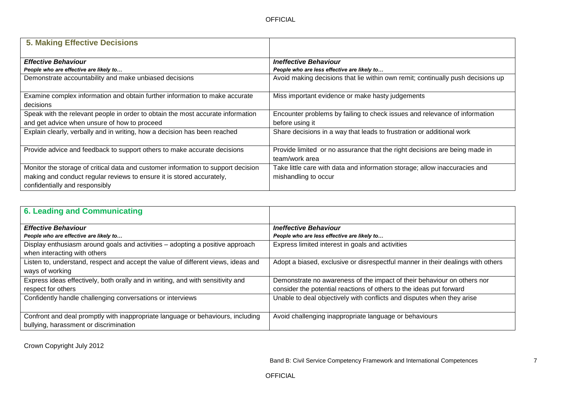| <b>5. Making Effective Decisions</b>                                                                                                                                                         |                                                                                                    |
|----------------------------------------------------------------------------------------------------------------------------------------------------------------------------------------------|----------------------------------------------------------------------------------------------------|
| <b>Effective Behaviour</b><br>People who are effective are likely to                                                                                                                         | <b>Ineffective Behaviour</b><br>People who are less effective are likely to                        |
| Demonstrate accountability and make unbiased decisions                                                                                                                                       | Avoid making decisions that lie within own remit; continually push decisions up                    |
| Examine complex information and obtain further information to make accurate<br>decisions                                                                                                     | Miss important evidence or make hasty judgements                                                   |
| Speak with the relevant people in order to obtain the most accurate information<br>and get advice when unsure of how to proceed                                                              | Encounter problems by failing to check issues and relevance of information<br>before using it      |
| Explain clearly, verbally and in writing, how a decision has been reached                                                                                                                    | Share decisions in a way that leads to frustration or additional work                              |
| Provide advice and feedback to support others to make accurate decisions                                                                                                                     | Provide limited or no assurance that the right decisions are being made in<br>team/work area       |
| Monitor the storage of critical data and customer information to support decision<br>making and conduct regular reviews to ensure it is stored accurately,<br>confidentially and responsibly | Take little care with data and information storage; allow inaccuracies and<br>mishandling to occur |

| <b>6. Leading and Communicating</b>                                               |                                                                                 |
|-----------------------------------------------------------------------------------|---------------------------------------------------------------------------------|
| <b>Effective Behaviour</b>                                                        | <b>Ineffective Behaviour</b>                                                    |
| People who are effective are likely to                                            | People who are less effective are likely to                                     |
| Display enthusiasm around goals and activities - adopting a positive approach     | Express limited interest in goals and activities                                |
| when interacting with others                                                      |                                                                                 |
| Listen to, understand, respect and accept the value of different views, ideas and | Adopt a biased, exclusive or disrespectful manner in their dealings with others |
| ways of working                                                                   |                                                                                 |
| Express ideas effectively, both orally and in writing, and with sensitivity and   | Demonstrate no awareness of the impact of their behaviour on others nor         |
| respect for others                                                                | consider the potential reactions of others to the ideas put forward             |
| Confidently handle challenging conversations or interviews                        | Unable to deal objectively with conflicts and disputes when they arise          |
|                                                                                   |                                                                                 |
| Confront and deal promptly with inappropriate language or behaviours, including   | Avoid challenging inappropriate language or behaviours                          |
| bullying, harassment or discrimination                                            |                                                                                 |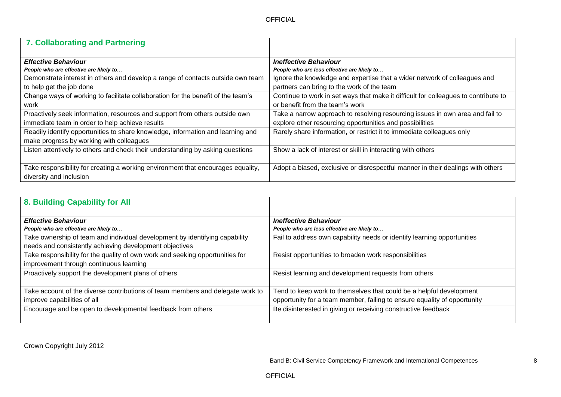| 7. Collaborating and Partnering                                                  |                                                                                     |
|----------------------------------------------------------------------------------|-------------------------------------------------------------------------------------|
| <b>Effective Behaviour</b>                                                       | <b>Ineffective Behaviour</b>                                                        |
| People who are effective are likely to                                           | People who are less effective are likely to                                         |
| Demonstrate interest in others and develop a range of contacts outside own team  | Ignore the knowledge and expertise that a wider network of colleagues and           |
| to help get the job done                                                         | partners can bring to the work of the team                                          |
| Change ways of working to facilitate collaboration for the benefit of the team's | Continue to work in set ways that make it difficult for colleagues to contribute to |
| work                                                                             | or benefit from the team's work                                                     |
| Proactively seek information, resources and support from others outside own      | Take a narrow approach to resolving resourcing issues in own area and fail to       |
| immediate team in order to help achieve results                                  | explore other resourcing opportunities and possibilities                            |
| Readily identify opportunities to share knowledge, information and learning and  | Rarely share information, or restrict it to immediate colleagues only               |
| make progress by working with colleagues                                         |                                                                                     |
| Listen attentively to others and check their understanding by asking questions   | Show a lack of interest or skill in interacting with others                         |
|                                                                                  |                                                                                     |
| Take responsibility for creating a working environment that encourages equality, | Adopt a biased, exclusive or disrespectful manner in their dealings with others     |
| diversity and inclusion                                                          |                                                                                     |

| 8. Building Capability for All                                                                                                         |                                                                          |
|----------------------------------------------------------------------------------------------------------------------------------------|--------------------------------------------------------------------------|
| <b>Effective Behaviour</b>                                                                                                             | <b>Ineffective Behaviour</b>                                             |
| People who are effective are likely to                                                                                                 | People who are less effective are likely to                              |
| Take ownership of team and individual development by identifying capability<br>needs and consistently achieving development objectives | Fail to address own capability needs or identify learning opportunities  |
| Take responsibility for the quality of own work and seeking opportunities for<br>improvement through continuous learning               | Resist opportunities to broaden work responsibilities                    |
| Proactively support the development plans of others                                                                                    | Resist learning and development requests from others                     |
| Take account of the diverse contributions of team members and delegate work to                                                         | Tend to keep work to themselves that could be a helpful development      |
| improve capabilities of all                                                                                                            | opportunity for a team member, failing to ensure equality of opportunity |
| Encourage and be open to developmental feedback from others                                                                            | Be disinterested in giving or receiving constructive feedback            |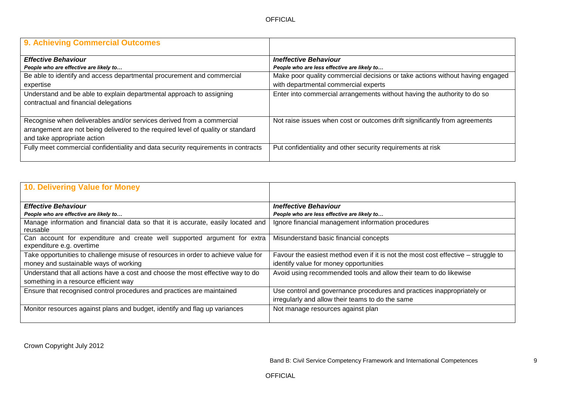| 9. Achieving Commercial Outcomes                                                  |                                                                               |
|-----------------------------------------------------------------------------------|-------------------------------------------------------------------------------|
| <b>Effective Behaviour</b>                                                        | <b>Ineffective Behaviour</b>                                                  |
| People who are effective are likely to                                            | People who are less effective are likely to                                   |
| Be able to identify and access departmental procurement and commercial            | Make poor quality commercial decisions or take actions without having engaged |
| expertise                                                                         | with departmental commercial experts                                          |
| Understand and be able to explain departmental approach to assigning              | Enter into commercial arrangements without having the authority to do so      |
| contractual and financial delegations                                             |                                                                               |
|                                                                                   |                                                                               |
| Recognise when deliverables and/or services derived from a commercial             | Not raise issues when cost or outcomes drift significantly from agreements    |
| arrangement are not being delivered to the required level of quality or standard  |                                                                               |
| and take appropriate action                                                       |                                                                               |
| Fully meet commercial confidentiality and data security requirements in contracts | Put confidentiality and other security requirements at risk                   |
|                                                                                   |                                                                               |

| 10. Delivering Value for Money                                                                        |                                                                                   |
|-------------------------------------------------------------------------------------------------------|-----------------------------------------------------------------------------------|
| <b>Effective Behaviour</b>                                                                            | <b>Ineffective Behaviour</b>                                                      |
| People who are effective are likely to                                                                | People who are less effective are likely to                                       |
| Manage information and financial data so that it is accurate, easily located and<br>reusable          | Ignore financial management information procedures                                |
| Can account for expenditure and create well supported argument for extra<br>expenditure e.g. overtime | Misunderstand basic financial concepts                                            |
| Take opportunities to challenge misuse of resources in order to achieve value for                     | Favour the easiest method even if it is not the most cost effective – struggle to |
| money and sustainable ways of working                                                                 | identify value for money opportunities                                            |
| Understand that all actions have a cost and choose the most effective way to do                       | Avoid using recommended tools and allow their team to do likewise                 |
| something in a resource efficient way                                                                 |                                                                                   |
| Ensure that recognised control procedures and practices are maintained                                | Use control and governance procedures and practices inappropriately or            |
|                                                                                                       | irregularly and allow their teams to do the same                                  |
| Monitor resources against plans and budget, identify and flag up variances                            | Not manage resources against plan                                                 |
|                                                                                                       |                                                                                   |